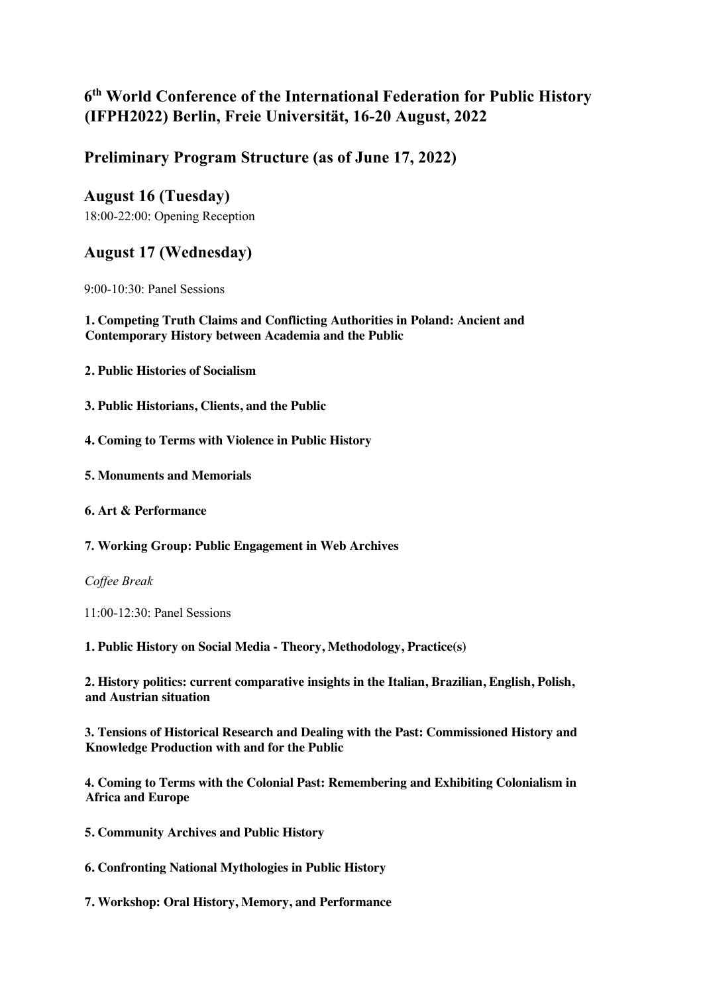## **6th World Conference of the International Federation for Public History (IFPH2022) Berlin, Freie Universität, 16-20 August, 2022**

### **Preliminary Program Structure (as of June 17, 2022)**

# **August 16 (Tuesday)**

18:00-22:00: Opening Reception

### **August 17 (Wednesday)**

9:00-10:30: Panel Sessions

### **1. Competing Truth Claims and Conflicting Authorities in Poland: Ancient and Contemporary History between Academia and the Public**

- **2. Public Histories of Socialism**
- **3. Public Historians, Clients, and the Public**
- **4. Coming to Terms with Violence in Public History**
- **5. Monuments and Memorials**
- **6. Art & Performance**
- **7. Working Group: Public Engagement in Web Archives**

*Coffee Break* 

11:00-12:30: Panel Sessions

**1. Public History on Social Media - Theory, Methodology, Practice(s)**

**2. History politics: current comparative insights in the Italian, Brazilian, English, Polish, and Austrian situation**

**3. Tensions of Historical Research and Dealing with the Past: Commissioned History and Knowledge Production with and for the Public**

**4. Coming to Terms with the Colonial Past: Remembering and Exhibiting Colonialism in Africa and Europe**

- **5. Community Archives and Public History**
- **6. Confronting National Mythologies in Public History**
- **7. Workshop: Oral History, Memory, and Performance**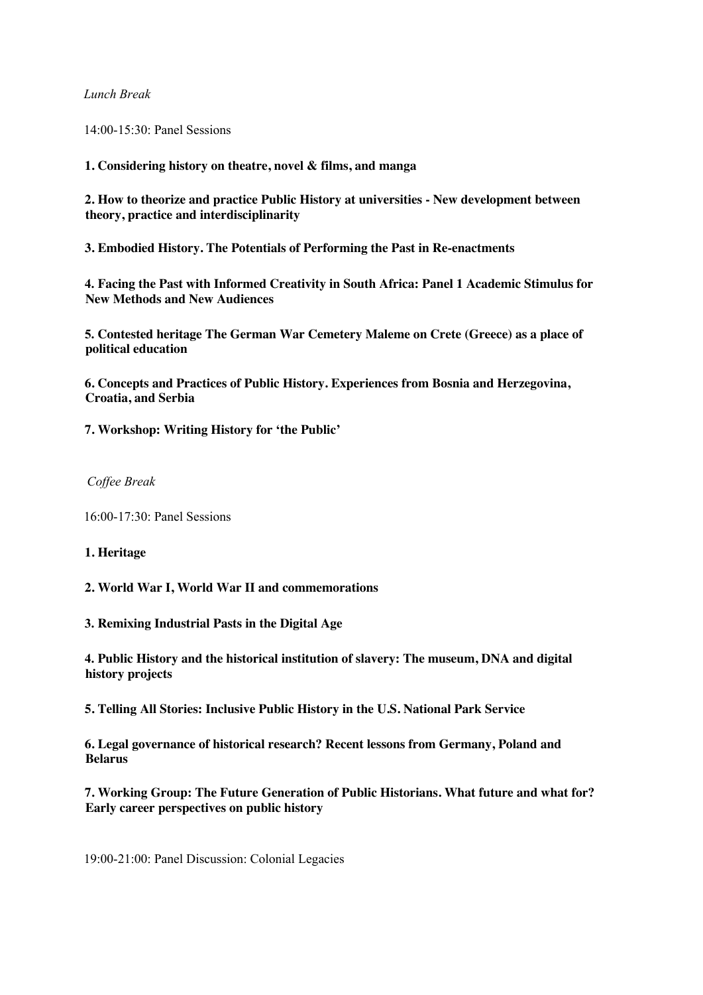### *Lunch Break*

14:00-15:30: Panel Sessions

**1. Considering history on theatre, novel & films, and manga**

**2. How to theorize and practice Public History at universities - New development between theory, practice and interdisciplinarity**

**3. Embodied History. The Potentials of Performing the Past in Re-enactments**

**4. Facing the Past with Informed Creativity in South Africa: Panel 1 Academic Stimulus for New Methods and New Audiences**

**5. Contested heritage The German War Cemetery Maleme on Crete (Greece) as a place of political education**

**6. Concepts and Practices of Public History. Experiences from Bosnia and Herzegovina, Croatia, and Serbia**

**7. Workshop: Writing History for 'the Public'**

### *Coffee Break*

16:00-17:30: Panel Sessions

#### **1. Heritage**

**2. World War I, World War II and commemorations**

**3. Remixing Industrial Pasts in the Digital Age**

**4. Public History and the historical institution of slavery: The museum, DNA and digital history projects**

**5. Telling All Stories: Inclusive Public History in the U.S. National Park Service**

**6. Legal governance of historical research? Recent lessons from Germany, Poland and Belarus**

**7. Working Group: The Future Generation of Public Historians. What future and what for? Early career perspectives on public history**

19:00-21:00: Panel Discussion: Colonial Legacies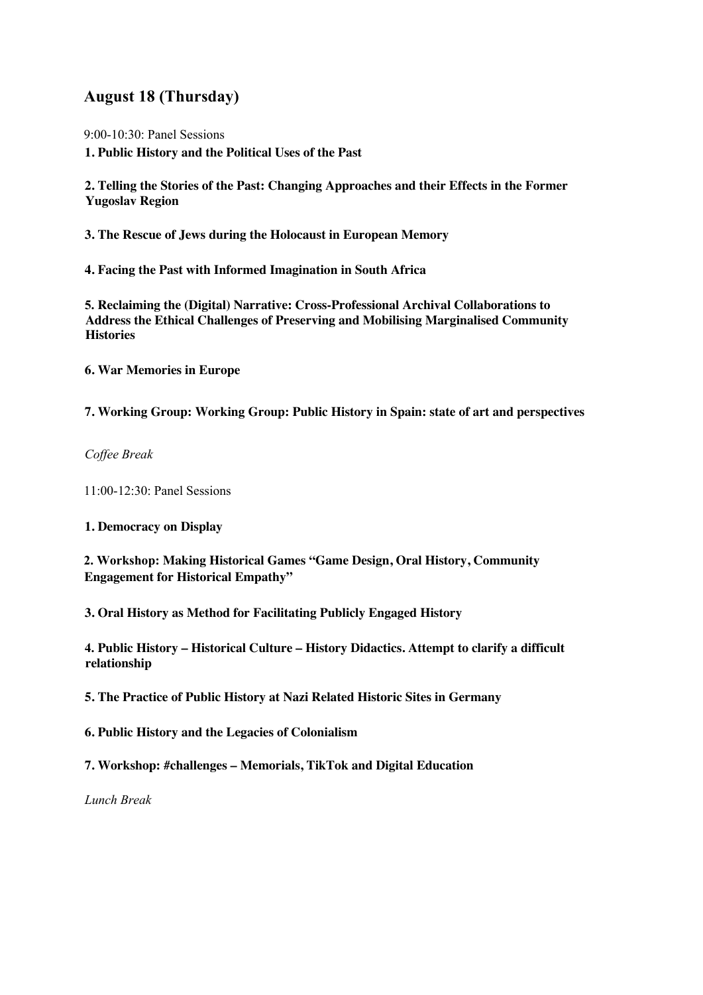### **August 18 (Thursday)**

9:00-10:30: Panel Sessions

**1. Public History and the Political Uses of the Past**

**2. Telling the Stories of the Past: Changing Approaches and their Effects in the Former Yugoslav Region**

**3. The Rescue of Jews during the Holocaust in European Memory**

**4. Facing the Past with Informed Imagination in South Africa**

**5. Reclaiming the (Digital) Narrative: Cross-Professional Archival Collaborations to Address the Ethical Challenges of Preserving and Mobilising Marginalised Community Histories**

**6. War Memories in Europe** 

**7. Working Group: Working Group: Public History in Spain: state of art and perspectives**

*Coffee Break* 

11:00-12:30: Panel Sessions

**1. Democracy on Display**

**2. Workshop: Making Historical Games "Game Design, Oral History, Community Engagement for Historical Empathy"**

**3. Oral History as Method for Facilitating Publicly Engaged History**

**4. Public History – Historical Culture – History Didactics. Attempt to clarify a difficult relationship**

**5. The Practice of Public History at Nazi Related Historic Sites in Germany**

**6. Public History and the Legacies of Colonialism** 

**7. Workshop: #challenges – Memorials, TikTok and Digital Education**

*Lunch Break*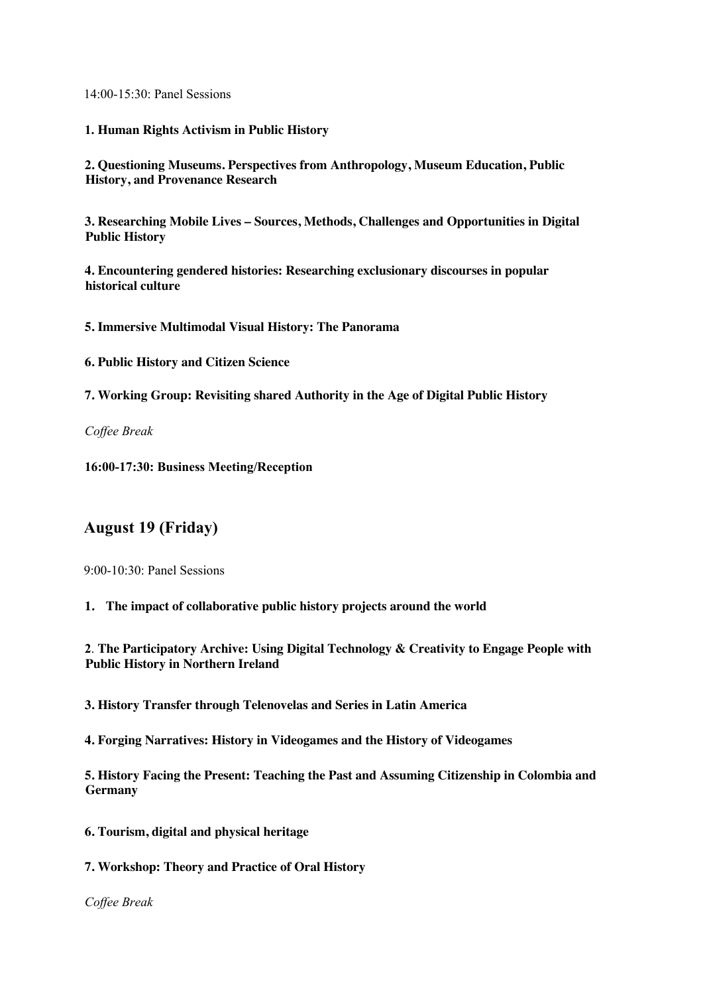14:00-15:30: Panel Sessions

**1. Human Rights Activism in Public History** 

**2. Questioning Museums. Perspectives from Anthropology, Museum Education, Public History, and Provenance Research**

**3. Researching Mobile Lives – Sources, Methods, Challenges and Opportunities in Digital Public History**

**4. Encountering gendered histories: Researching exclusionary discourses in popular historical culture**

**5. Immersive Multimodal Visual History: The Panorama**

**6. Public History and Citizen Science** 

**7. Working Group: Revisiting shared Authority in the Age of Digital Public History**

*Coffee Break* 

**16:00-17:30: Business Meeting/Reception** 

### **August 19 (Friday)**

9:00-10:30: Panel Sessions

**1. The impact of collaborative public history projects around the world**

**2**. **The Participatory Archive: Using Digital Technology & Creativity to Engage People with Public History in Northern Ireland**

**3. History Transfer through Telenovelas and Series in Latin America**

**4. Forging Narratives: History in Videogames and the History of Videogames**

**5. History Facing the Present: Teaching the Past and Assuming Citizenship in Colombia and Germany**

- **6. Tourism, digital and physical heritage**
- **7. Workshop: Theory and Practice of Oral History**

*Coffee Break*